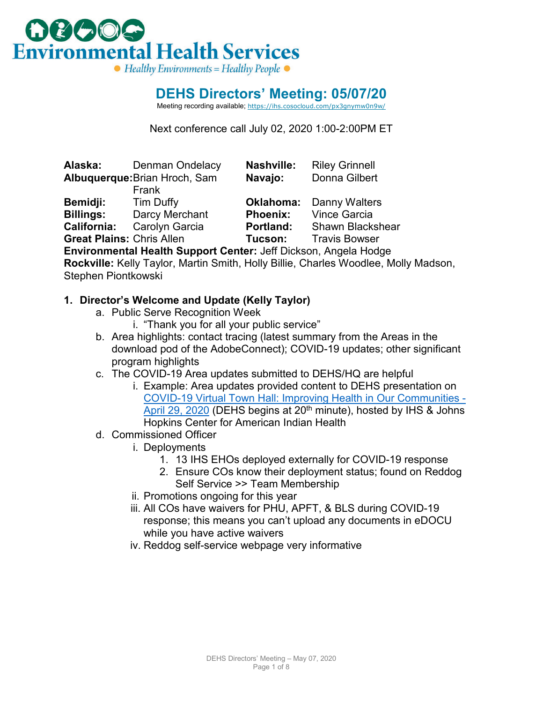

### **DEHS Directors' Meeting: 05/07/20**

Meeting recording available; <https://ihs.cosocloud.com/px3gnymw0n9w/>

Next conference call July 02, 2020 1:00-2:00PM ET

|                                  | Alaska: Denman Ondelacy | Nashville:      | <b>RIIEV GHILIEII</b>          |  |
|----------------------------------|-------------------------|-----------------|--------------------------------|--|
| Albuquerque: Brian Hroch, Sam    |                         | Navajo:         | Donna Gilbert                  |  |
|                                  | Frank                   |                 |                                |  |
| <b>Bemidji:</b>                  | Tim Duffy               |                 | <b>Oklahoma:</b> Danny Walters |  |
| <b>Billings:</b>                 | Darcy Merchant          | <b>Phoenix:</b> | <b>Vince Garcia</b>            |  |
| <b>California:</b>               | <b>Carolyn Garcia</b>   | Portland:       | <b>Shawn Blackshear</b>        |  |
| <b>Great Plains: Chris Allen</b> |                         | Tucson:         | <b>Travis Bowser</b>           |  |
|                                  |                         |                 |                                |  |

**Alaska:** Denman Ondelacy **Nashville:** Riley Grinnell

**Environmental Health Support Center:** Jeff Dickson, Angela Hodge **Rockville:** Kelly Taylor, Martin Smith, Holly Billie, Charles Woodlee, Molly Madson, Stephen Piontkowski

#### **1. Director's Welcome and Update (Kelly Taylor)**

- a. Public Serve Recognition Week
	- i. "Thank you for all your public service"
- b. Area highlights: contact tracing (latest summary from the Areas in the download pod of the AdobeConnect); COVID-19 updates; other significant program highlights
- c. The COVID-19 Area updates submitted to DEHS/HQ are helpful
	- i. Example: Area updates provided content to DEHS presentation on [COVID-19 Virtual Town Hall: Improving Health in Our Communities -](https://youtu.be/nnYf86fmEy0) [April 29, 2020](https://youtu.be/nnYf86fmEy0) (DEHS begins at 20<sup>th</sup> minute), hosted by IHS & Johns Hopkins Center for American Indian Health
- d. Commissioned Officer
	- i. Deployments
		- 1. 13 IHS EHOs deployed externally for COVID-19 response
		- 2. Ensure COs know their deployment status; found on Reddog Self Service >> Team Membership
	- ii. Promotions ongoing for this year
	- iii. All COs have waivers for PHU, APFT, & BLS during COVID-19 response; this means you can't upload any documents in eDOCU while you have active waivers
	- iv. Reddog self-service webpage very informative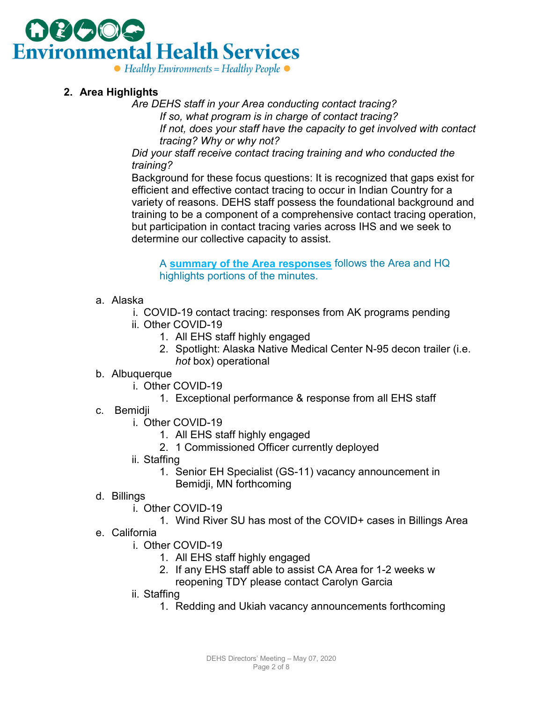

#### **2. Area Highlights**

*Are DEHS staff in your Area conducting contact tracing?*

*If so, what program is in charge of contact tracing?*

*If not, does your staff have the capacity to get involved with contact tracing? Why or why not?*

*Did your staff receive contact tracing training and who conducted the training?*

Background for these focus questions: It is recognized that gaps exist for efficient and effective contact tracing to occur in Indian Country for a variety of reasons. DEHS staff possess the foundational background and training to be a component of a comprehensive contact tracing operation, but participation in contact tracing varies across IHS and we seek to determine our collective capacity to assist.

A **[summary of the Area responses](#page-4-0)** follows the Area and HQ highlights portions of the minutes.

- a. Alaska
	- i. COVID-19 contact tracing: responses from AK programs pending
	- ii. Other COVID-19
		- 1. All EHS staff highly engaged
		- 2. Spotlight: Alaska Native Medical Center N-95 decon trailer (i.e. *hot* box) operational
- b. Albuquerque
	- i. Other COVID-19
		- 1. Exceptional performance & response from all EHS staff
- c. Bemidji
	- i. Other COVID-19
		- 1. All EHS staff highly engaged
		- 2. 1 Commissioned Officer currently deployed
	- ii. Staffing
		- 1. Senior EH Specialist (GS-11) vacancy announcement in Bemidji, MN forthcoming
- d. Billings
	- i. Other COVID-19
		- 1. Wind River SU has most of the COVID+ cases in Billings Area
- e. California
	- i. Other COVID-19
		- 1. All EHS staff highly engaged
		- 2. If any EHS staff able to assist CA Area for 1-2 weeks w reopening TDY please contact Carolyn Garcia
	- ii. Staffing
		- 1. Redding and Ukiah vacancy announcements forthcoming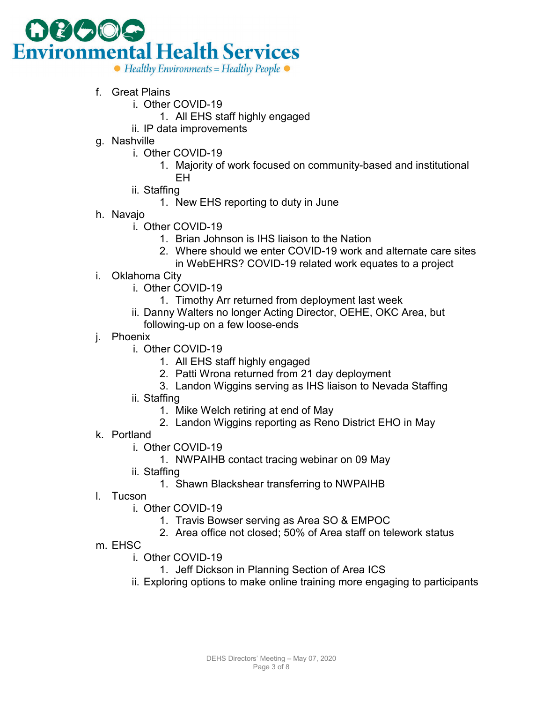

- f. Great Plains
	- i. Other COVID-19
		- 1. All EHS staff highly engaged
	- ii. IP data improvements
- g. Nashville
	- i. Other COVID-19
		- 1. Majority of work focused on community-based and institutional EH
	- ii. Staffing
		- 1. New EHS reporting to duty in June
- h. Navajo
	- i. Other COVID-19
		- 1. Brian Johnson is IHS liaison to the Nation
		- 2. Where should we enter COVID-19 work and alternate care sites
		- in WebEHRS? COVID-19 related work equates to a project
- i. Oklahoma City
	- i. Other COVID-19
		- 1. Timothy Arr returned from deployment last week
	- ii. Danny Walters no longer Acting Director, OEHE, OKC Area, but following-up on a few loose-ends
- j. Phoenix
	- i. Other COVID-19
		- 1. All EHS staff highly engaged
		- 2. Patti Wrona returned from 21 day deployment
		- 3. Landon Wiggins serving as IHS liaison to Nevada Staffing
	- ii. Staffing
		- 1. Mike Welch retiring at end of May
		- 2. Landon Wiggins reporting as Reno District EHO in May
- k. Portland
	- i. Other COVID-19
		- 1. NWPAIHB contact tracing webinar on 09 May
	- ii. Staffing
		- 1. Shawn Blackshear transferring to NWPAIHB
- l. Tucson
	- i. Other COVID-19
		- 1. Travis Bowser serving as Area SO & EMPOC
		- 2. Area office not closed; 50% of Area staff on telework status
- m. EHSC
	- i. Other COVID-19
		- 1. Jeff Dickson in Planning Section of Area ICS
	- ii. Exploring options to make online training more engaging to participants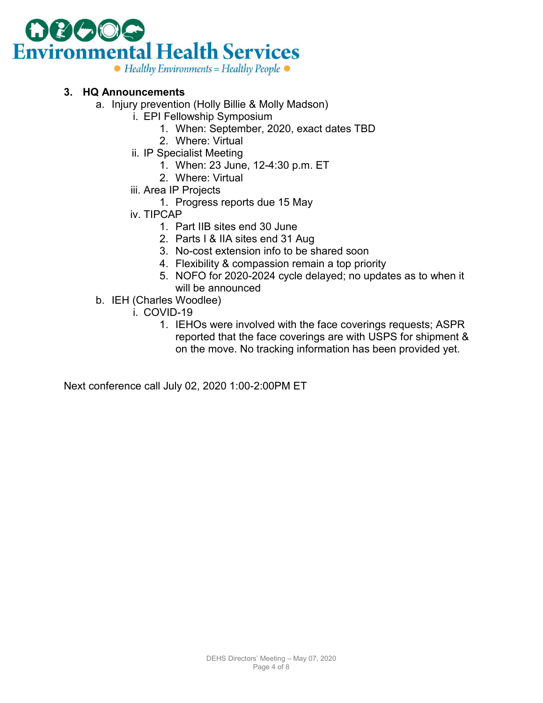

#### **3. HQ Announcements**

- a. Injury prevention (Holly Billie & Molly Madson)
	- i. EPI Fellowship Symposium
		- 1. When: September, 2020, exact dates TBD
		- 2. Where: Virtual
	- ii. IP Specialist Meeting
		- 1. When: 23 June, 12-4:30 p.m. ET
		- 2. Where: Virtual
	- iii. Area IP Projects
		- 1. Progress reports due 15 May
	- iv. TIPCAP
		- 1. Part IIB sites end 30 June
		- 2. Parts I & IIA sites end 31 Aug
		- 3. No-cost extension info to be shared soon
		- 4. Flexibility & compassion remain a top priority
		- 5. NOFO for 2020-2024 cycle delayed; no updates as to when it will be announced
- b. IEH (Charles Woodlee)
	- i. COVID-19
		- 1. IEHOs were involved with the face coverings requests; ASPR reported that the face coverings are with USPS for shipment & on the move. No tracking information has been provided yet.

Next conference call July 02, 2020 1:00-2:00PM ET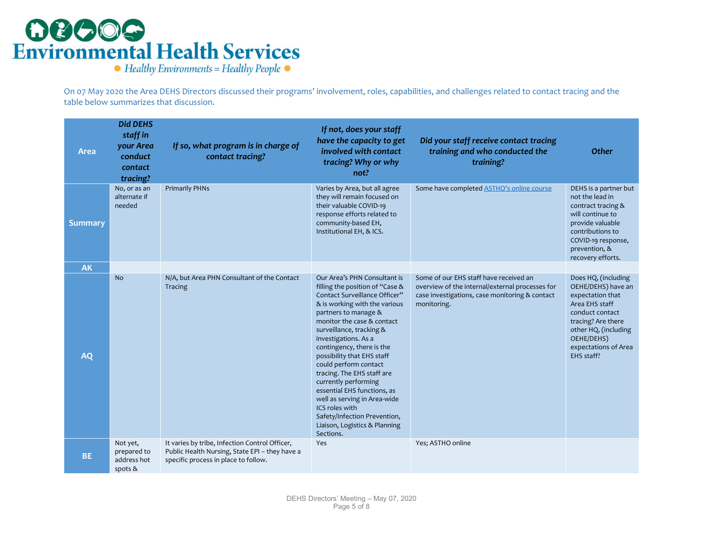## **OBOOG**<br>Environmental Health Services

 $\bullet$  Healthy Environments = Healthy People  $\bullet$ 

On 07 May 2020 the Area DEHS Directors discussed their programs' involvement, roles, capabilities, and challenges related to contact tracing and the table below summarizes that discussion.

<span id="page-4-0"></span>

| <b>Area</b>    | <b>Did DEHS</b><br>staff in<br>your Area<br>conduct<br>contact<br>tracing? | If so, what program is in charge of<br>contact tracing?                                                                                  | If not, does your staff<br>have the capacity to get<br>involved with contact<br>tracing? Why or why<br>not?                                                                                                                                                                                                                                                                                                                                                                                                                                          | Did your staff receive contact tracing<br>training and who conducted the<br>training?                                                                      | <b>Other</b>                                                                                                                                                                                         |
|----------------|----------------------------------------------------------------------------|------------------------------------------------------------------------------------------------------------------------------------------|------------------------------------------------------------------------------------------------------------------------------------------------------------------------------------------------------------------------------------------------------------------------------------------------------------------------------------------------------------------------------------------------------------------------------------------------------------------------------------------------------------------------------------------------------|------------------------------------------------------------------------------------------------------------------------------------------------------------|------------------------------------------------------------------------------------------------------------------------------------------------------------------------------------------------------|
| <b>Summary</b> | No, or as an<br>alternate if<br>needed                                     | <b>Primarily PHNs</b>                                                                                                                    | Varies by Area, but all agree<br>they will remain focused on<br>their valuable COVID-19<br>response efforts related to<br>community-based EH,<br>Institutional EH, & ICS.                                                                                                                                                                                                                                                                                                                                                                            | Some have completed <b>ASTHO's online course</b>                                                                                                           | DEHS is a partner but<br>not the lead in<br>contract tracing &<br>will continue to<br>provide valuable<br>contributions to<br>COVID-19 response,<br>prevention, &<br>recovery efforts.               |
| <b>AK</b>      |                                                                            |                                                                                                                                          |                                                                                                                                                                                                                                                                                                                                                                                                                                                                                                                                                      |                                                                                                                                                            |                                                                                                                                                                                                      |
| <b>AQ</b>      | No.                                                                        | N/A, but Area PHN Consultant of the Contact<br>Tracing                                                                                   | Our Area's PHN Consultant is<br>filling the position of "Case &<br>Contact Surveillance Officer"<br>& is working with the various<br>partners to manage &<br>monitor the case & contact<br>surveillance, tracking &<br>investigations. As a<br>contingency, there is the<br>possibility that EHS staff<br>could perform contact<br>tracing. The EHS staff are<br>currently performing<br>essential EHS functions, as<br>well as serving in Area-wide<br>ICS roles with<br>Safety/Infection Prevention,<br>Liaison, Logistics & Planning<br>Sections. | Some of our EHS staff have received an<br>overview of the internal/external processes for<br>case investigations, case monitoring & contact<br>monitoring. | Does HQ, (including<br>OEHE/DEHS) have an<br>expectation that<br>Area EHS staff<br>conduct contact<br>tracing? Are there<br>other HQ, (including<br>OEHE/DEHS)<br>expectations of Area<br>EHS staff? |
| <b>BE</b>      | Not yet,<br>prepared to<br>address hot<br>spots &                          | It varies by tribe, Infection Control Officer,<br>Public Health Nursing, State EPI - they have a<br>specific process in place to follow. | Yes                                                                                                                                                                                                                                                                                                                                                                                                                                                                                                                                                  | Yes; ASTHO online                                                                                                                                          |                                                                                                                                                                                                      |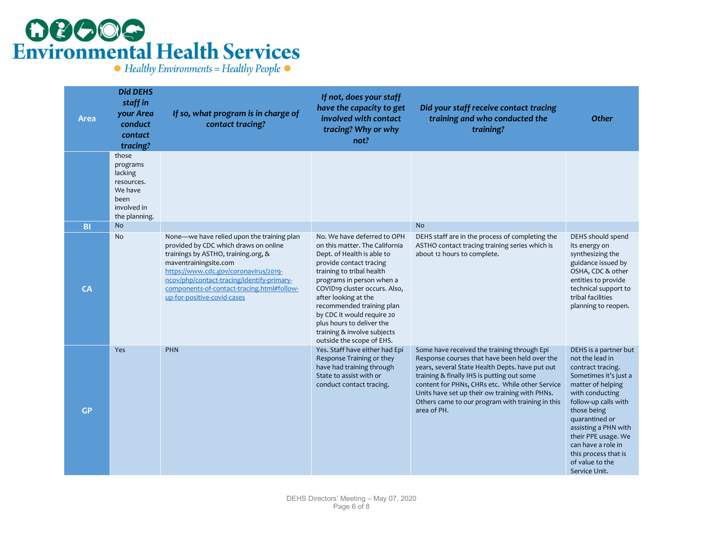## **OBCOG**<br>Environmental Health Services

 $\bullet$  Healthy Environments = Healthy People  $\bullet$ 

| Area      | <b>Did DEHS</b><br>staff in<br>your Area<br>conduct<br>contact<br>tracing?                    | If so, what program is in charge of<br>contact tracing?                                                                                                                                                                                                                                                                 | If not, does your staff<br>have the capacity to get<br>involved with contact<br>tracing? Why or why<br>not?                                                                                                                                                                                                                                                                                   | Did your staff receive contact tracing<br>training and who conducted the<br>training?                                                                                                                                                                                                                                                                                 | <b>Other</b>                                                                                                                                                                                                                                                                                                             |
|-----------|-----------------------------------------------------------------------------------------------|-------------------------------------------------------------------------------------------------------------------------------------------------------------------------------------------------------------------------------------------------------------------------------------------------------------------------|-----------------------------------------------------------------------------------------------------------------------------------------------------------------------------------------------------------------------------------------------------------------------------------------------------------------------------------------------------------------------------------------------|-----------------------------------------------------------------------------------------------------------------------------------------------------------------------------------------------------------------------------------------------------------------------------------------------------------------------------------------------------------------------|--------------------------------------------------------------------------------------------------------------------------------------------------------------------------------------------------------------------------------------------------------------------------------------------------------------------------|
|           | those<br>programs<br>lacking<br>resources.<br>We have<br>been<br>involved in<br>the planning. |                                                                                                                                                                                                                                                                                                                         |                                                                                                                                                                                                                                                                                                                                                                                               |                                                                                                                                                                                                                                                                                                                                                                       |                                                                                                                                                                                                                                                                                                                          |
| <b>BI</b> | <b>No</b>                                                                                     |                                                                                                                                                                                                                                                                                                                         |                                                                                                                                                                                                                                                                                                                                                                                               | <b>No</b>                                                                                                                                                                                                                                                                                                                                                             |                                                                                                                                                                                                                                                                                                                          |
| CA        | No                                                                                            | None—we have relied upon the training plan<br>provided by CDC which draws on online<br>trainings by ASTHO, training.org, &<br>maventrainingsite.com<br>https://www.cdc.gov/coronavirus/2019-<br>ncov/php/contact-tracing/identify-primary-<br>components-of-contact-tracing.html#follow-<br>up-for-positive-covid-cases | No. We have deferred to OPH<br>on this matter. The California<br>Dept. of Health is able to<br>provide contact tracing<br>training to tribal health<br>programs in person when a<br>COVID19 cluster occurs. Also,<br>after looking at the<br>recommended training plan<br>by CDC it would require 20<br>plus hours to deliver the<br>training & involve subjects<br>outside the scope of EHS. | DEHS staff are in the process of completing the<br>ASTHO contact tracing training series which is<br>about 12 hours to complete.                                                                                                                                                                                                                                      | DEHS should spend<br>its energy on<br>synthesizing the<br>guidance issued by<br>OSHA, CDC & other<br>entities to provide<br>technical support to<br>tribal facilities<br>planning to reopen.                                                                                                                             |
| GP        | Yes                                                                                           | <b>PHN</b>                                                                                                                                                                                                                                                                                                              | Yes. Staff have either had Epi<br>Response Training or they<br>have had training through<br>State to assist with or<br>conduct contact tracing.                                                                                                                                                                                                                                               | Some have received the training through Epi<br>Response courses that have been held over the<br>years, several State Health Depts. have put out<br>training & finally IHS is putting out some<br>content for PHNs, CHRs etc. While other Service<br>Units have set up their ow training with PHNs.<br>Others came to our program with training in this<br>area of PH. | DEHS is a partner but<br>not the lead in<br>contract tracing.<br>Sometimes it's just a<br>matter of helping<br>with conducting<br>follow-up calls with<br>those being<br>quarantined or<br>assisting a PHN with<br>their PPE usage. We<br>can have a role in<br>this process that is<br>of value to the<br>Service Unit. |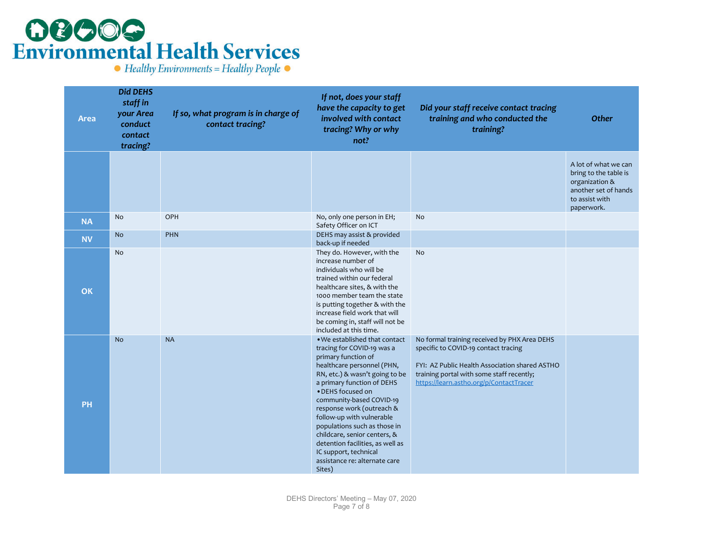### **OCOOG**<br>Environmental Health Services

 $\bullet$  Healthy Environments = Healthy People  $\bullet$ 

| <b>Area</b> | <b>Did DEHS</b><br>staff in<br>your Area<br>conduct<br>contact<br>tracing? | If so, what program is in charge of<br>contact tracing? | If not, does your staff<br>have the capacity to get<br>involved with contact<br>tracing? Why or why<br>not?                                                                                                                                                                                                                                                                                                                                                         | Did your staff receive contact tracing<br>training and who conducted the<br>training?                                                                                                                                          | <b>Other</b>                                                                                                            |
|-------------|----------------------------------------------------------------------------|---------------------------------------------------------|---------------------------------------------------------------------------------------------------------------------------------------------------------------------------------------------------------------------------------------------------------------------------------------------------------------------------------------------------------------------------------------------------------------------------------------------------------------------|--------------------------------------------------------------------------------------------------------------------------------------------------------------------------------------------------------------------------------|-------------------------------------------------------------------------------------------------------------------------|
|             |                                                                            |                                                         |                                                                                                                                                                                                                                                                                                                                                                                                                                                                     |                                                                                                                                                                                                                                | A lot of what we can<br>bring to the table is<br>organization &<br>another set of hands<br>to assist with<br>paperwork. |
| <b>NA</b>   | <b>No</b>                                                                  | OPH                                                     | No, only one person in EH;<br>Safety Officer on ICT                                                                                                                                                                                                                                                                                                                                                                                                                 | <b>No</b>                                                                                                                                                                                                                      |                                                                                                                         |
| <b>NV</b>   | <b>No</b>                                                                  | PHN                                                     | DEHS may assist & provided<br>back-up if needed                                                                                                                                                                                                                                                                                                                                                                                                                     |                                                                                                                                                                                                                                |                                                                                                                         |
| <b>OK</b>   | <b>No</b>                                                                  |                                                         | They do. However, with the<br>increase number of<br>individuals who will be<br>trained within our federal<br>healthcare sites, & with the<br>1000 member team the state<br>is putting together & with the<br>increase field work that will<br>be coming in, staff will not be<br>included at this time.                                                                                                                                                             | No                                                                                                                                                                                                                             |                                                                                                                         |
| PH          | <b>No</b>                                                                  | <b>NA</b>                                               | . We established that contact<br>tracing for COVID-19 was a<br>primary function of<br>healthcare personnel (PHN,<br>RN, etc.) & wasn't going to be<br>a primary function of DEHS<br>· DEHS focused on<br>community-based COVID-19<br>response work (outreach &<br>follow-up with vulnerable<br>populations such as those in<br>childcare, senior centers, &<br>detention facilities, as well as<br>IC support, technical<br>assistance re: alternate care<br>Sites) | No formal training received by PHX Area DEHS<br>specific to COVID-19 contact tracing<br>FYI: AZ Public Health Association shared ASTHO<br>training portal with some staff recently;<br>https://learn.astho.org/p/ContactTracer |                                                                                                                         |